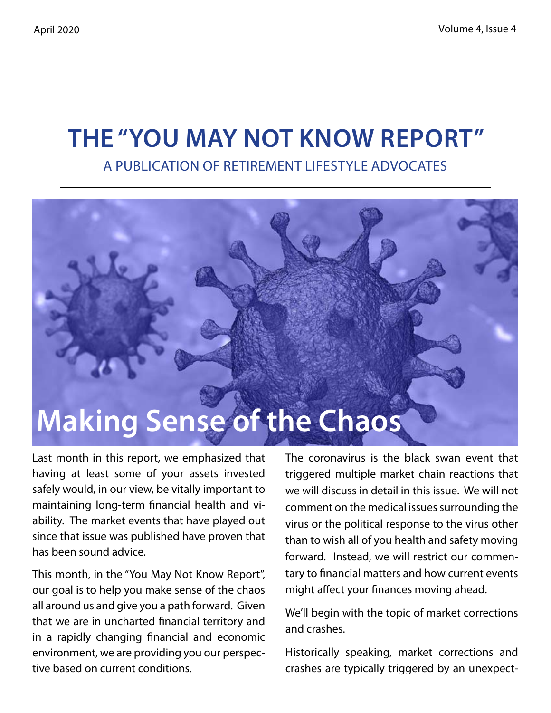# **The "You May Not Know Report"**

A Publication of Retirement Lifestyle Advocates

# **Making Sense of the Chaos**

Last month in this report, we emphasized that having at least some of your assets invested safely would, in our view, be vitally important to maintaining long-term financial health and viability. The market events that have played out since that issue was published have proven that has been sound advice.

This month, in the "You May Not Know Report", our goal is to help you make sense of the chaos all around us and give you a path forward. Given that we are in uncharted financial territory and in a rapidly changing financial and economic environment, we are providing you our perspective based on current conditions.

The coronavirus is the black swan event that triggered multiple market chain reactions that we will discuss in detail in this issue. We will not comment on the medical issues surrounding the virus or the political response to the virus other than to wish all of you health and safety moving forward. Instead, we will restrict our commentary to financial matters and how current events might affect your finances moving ahead.

We'll begin with the topic of market corrections and crashes.

Historically speaking, market corrections and crashes are typically triggered by an unexpect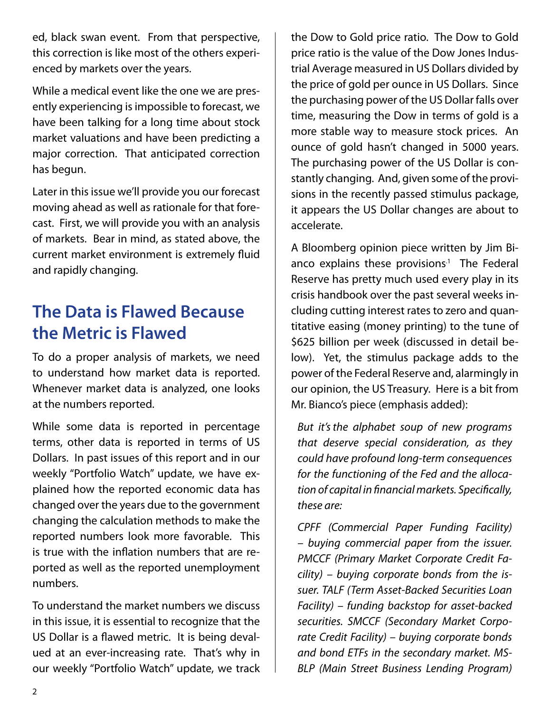ed, black swan event. From that perspective, this correction is like most of the others experienced by markets over the years.

While a medical event like the one we are presently experiencing is impossible to forecast, we have been talking for a long time about stock market valuations and have been predicting a major correction. That anticipated correction has begun.

Later in this issue we'll provide you our forecast moving ahead as well as rationale for that forecast. First, we will provide you with an analysis of markets. Bear in mind, as stated above, the current market environment is extremely fluid and rapidly changing.

### **The Data is Flawed Because the Metric is Flawed**

To do a proper analysis of markets, we need to understand how market data is reported. Whenever market data is analyzed, one looks at the numbers reported.

While some data is reported in percentage terms, other data is reported in terms of US Dollars. In past issues of this report and in our weekly "Portfolio Watch" update, we have explained how the reported economic data has changed over the years due to the government changing the calculation methods to make the reported numbers look more favorable. This is true with the inflation numbers that are reported as well as the reported unemployment numbers.

To understand the market numbers we discuss in this issue, it is essential to recognize that the US Dollar is a flawed metric. It is being devalued at an ever-increasing rate. That's why in our weekly "Portfolio Watch" update, we track the Dow to Gold price ratio. The Dow to Gold price ratio is the value of the Dow Jones Industrial Average measured in US Dollars divided by the price of gold per ounce in US Dollars. Since the purchasing power of the US Dollar falls over time, measuring the Dow in terms of gold is a more stable way to measure stock prices. An ounce of gold hasn't changed in 5000 years. The purchasing power of the US Dollar is constantly changing. And, given some of the provisions in the recently passed stimulus package, it appears the US Dollar changes are about to accelerate.

A Bloomberg opinion piece written by Jim Bianco explains these provisions $1$  The Federal Reserve has pretty much used every play in its crisis handbook over the past several weeks including cutting interest rates to zero and quantitative easing (money printing) to the tune of \$625 billion per week (discussed in detail below). Yet, the stimulus package adds to the power of the Federal Reserve and, alarmingly in our opinion, the US Treasury. Here is a bit from Mr. Bianco's piece (emphasis added):

*But it'sthe alphabet soup of new programs that deserve special consideration, as they could have profound long-term consequences for the functioning of the Fed and the allocation of capital in financial markets. Specifically, these are:*

*CPFF (Commercial Paper Funding Facility) – buying commercial paper from the issuer. PMCCF (Primary Market Corporate Credit Facility) – buying corporate bonds from the issuer. TALF (Term Asset-Backed Securities Loan Facility) – funding backstop for asset-backed securities. SMCCF (Secondary Market Corporate Credit Facility) – buying corporate bonds and bond ETFs in the secondary market. MS-BLP (Main Street Business Lending Program)*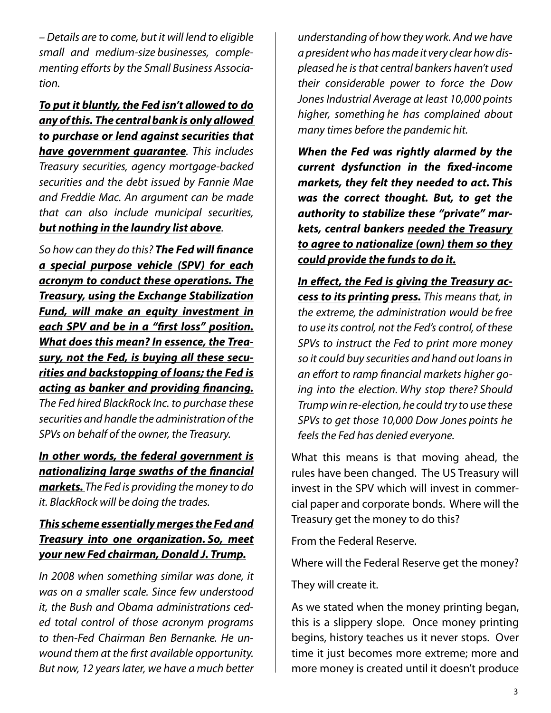*– Details are to come, but it will lend to eligible small and medium-size businesses, complementing efforts by the Small Business Association.*

*To put it bluntly, the Fed isn't allowed to do any of this. The central bank is only allowed to purchase or lend against securities that have government guarantee. This includes Treasury securities, agency mortgage-backed securities and the debt issued by Fannie Mae and Freddie Mac. An argument can be made that can also include municipal securities, but nothing in the laundry list above.*

*So how can they do this? The Fed will finance a special purpose vehicle (SPV) for each acronym to conduct these operations. The Treasury, using the Exchange Stabilization Fund, will make an equity investment in each SPV and be in a "first loss" position. What does this mean? In essence, the Treasury, not the Fed, is buying all these securities and backstopping of loans; the Fed is acting as banker and providing financing.*

*The Fed hired BlackRock Inc. to purchase these securities and handle the administration of the SPVs on behalf of the owner, the Treasury.*

#### *In other words, the federal government is nationalizing large swaths of the financial*

*markets. The Fed is providing the money to do it. BlackRock will be doing the trades.*

### *This scheme essentially merges the Fed and Treasury into one organization. So, meet your new Fed chairman, Donald J. Trump.*

*In 2008 when something similar was done, it was on a smaller scale. Since few understood it, the Bush and Obama administrations ceded total control of those acronym programs to then-Fed Chairman Ben Bernanke. He unwound them at the first available opportunity. But now, 12 years later, we have a much better* 

*understanding of how they work. And we have a president who has made it very clear how displeased he is that central bankers haven't used their considerable power to force the Dow Jones Industrial Average at least 10,000 points higher, something he has complained about many times before the pandemic hit.*

*When the Fed was rightly alarmed by the current dysfunction in the fixed-income markets, they felt they needed to act. This was the correct thought. But, to get the authority to stabilize these "private" markets, central bankers needed the Treasury to agree to nationalize (own) them so they could provide the funds to do it.*

*In effect, the Fed is giving the Treasury access to its printing press. This means that, in the extreme, the administration would be free to use its control, not the Fed's control, of these SPVs to instruct the Fed to print more money so it could buy securities and hand out loans in an effort to ramp financial markets higher going into the election. Why stop there? Should Trump win re-election, he could try to use these SPVs to get those 10,000 Dow Jones points he feels the Fed has denied everyone.*

What this means is that moving ahead, the rules have been changed. The US Treasury will invest in the SPV which will invest in commercial paper and corporate bonds. Where will the Treasury get the money to do this?

From the Federal Reserve.

Where will the Federal Reserve get the money?

They will create it.

As we stated when the money printing began, this is a slippery slope. Once money printing begins, history teaches us it never stops. Over time it just becomes more extreme; more and more money is created until it doesn't produce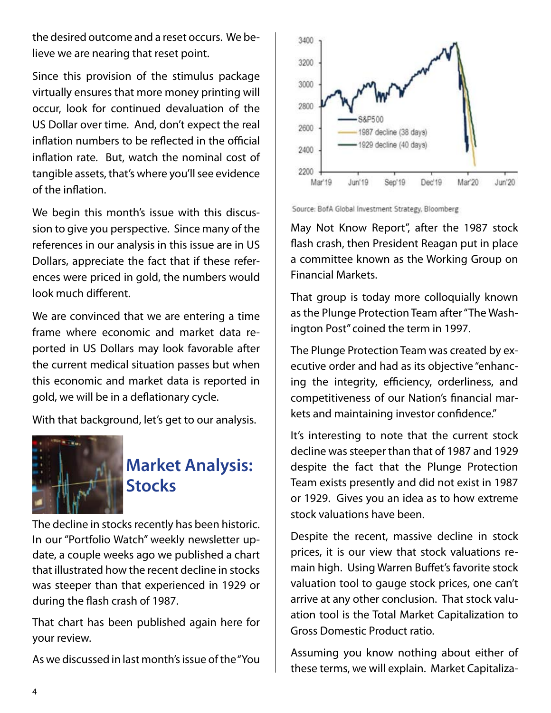the desired outcome and a reset occurs. We believe we are nearing that reset point.

Since this provision of the stimulus package virtually ensures that more money printing will occur, look for continued devaluation of the US Dollar over time. And, don't expect the real inflation numbers to be reflected in the official inflation rate. But, watch the nominal cost of tangible assets, that's where you'll see evidence of the inflation.

We begin this month's issue with this discussion to give you perspective. Since many of the references in our analysis in this issue are in US Dollars, appreciate the fact that if these references were priced in gold, the numbers would look much different.

We are convinced that we are entering a time frame where economic and market data reported in US Dollars may look favorable after the current medical situation passes but when this economic and market data is reported in gold, we will be in a deflationary cycle.

With that background, let's get to our analysis.



## **Market Analysis: Stocks**

The decline in stocks recently has been historic. In our "Portfolio Watch" weekly newsletter update, a couple weeks ago we published a chart that illustrated how the recent decline in stocks was steeper than that experienced in 1929 or during the flash crash of 1987.

That chart has been published again here for your review.

As we discussed in last month's issue of the "You



Source: BofA Global Investment Strategy, Bloomberg

May Not Know Report", after the 1987 stock flash crash, then President Reagan put in place a committee known as the Working Group on Financial Markets.

That group is today more colloquially known as the Plunge Protection Team after "The Washington Post" coined the term in 1997.

The Plunge Protection Team was created by executive order and had as its objective "enhancing the integrity, efficiency, orderliness, and competitiveness of our Nation's financial markets and maintaining investor confidence."

It's interesting to note that the current stock decline was steeper than that of 1987 and 1929 despite the fact that the Plunge Protection Team exists presently and did not exist in 1987 or 1929. Gives you an idea as to how extreme stock valuations have been.

Despite the recent, massive decline in stock prices, it is our view that stock valuations remain high. Using Warren Buffet's favorite stock valuation tool to gauge stock prices, one can't arrive at any other conclusion. That stock valuation tool is the Total Market Capitalization to Gross Domestic Product ratio.

Assuming you know nothing about either of these terms, we will explain. Market Capitaliza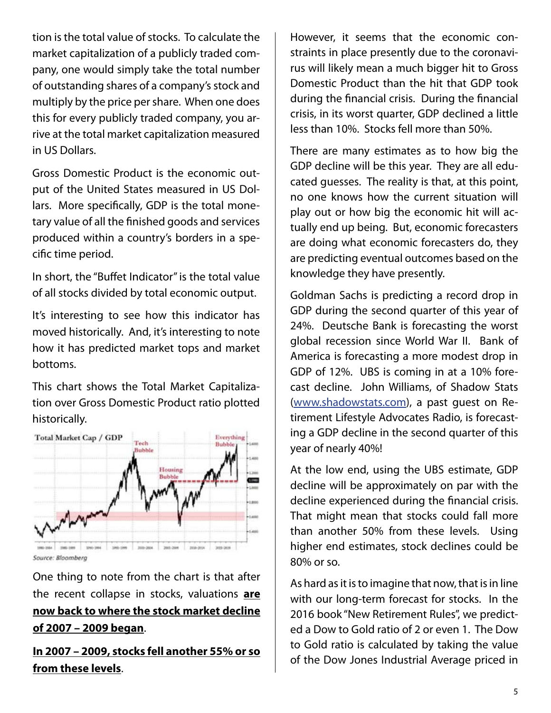tion is the total value of stocks. To calculate the market capitalization of a publicly traded company, one would simply take the total number of outstanding shares of a company's stock and multiply by the price per share. When one does this for every publicly traded company, you arrive at the total market capitalization measured in US Dollars.

Gross Domestic Product is the economic output of the United States measured in US Dollars. More specifically, GDP is the total monetary value of all the finished goods and services produced within a country's borders in a specific time period.

In short, the "Buffet Indicator" is the total value of all stocks divided by total economic output.

It's interesting to see how this indicator has moved historically. And, it's interesting to note how it has predicted market tops and market bottoms.

This chart shows the Total Market Capitalization over Gross Domestic Product ratio plotted historically.



One thing to note from the chart is that after the recent collapse in stocks, valuations **are now back to where the stock market decline of 2007 – 2009 began**.

**In 2007 – 2009, stocks fell another 55% or so from these levels**.

However, it seems that the economic constraints in place presently due to the coronavirus will likely mean a much bigger hit to Gross Domestic Product than the hit that GDP took during the financial crisis. During the financial crisis, in its worst quarter, GDP declined a little less than 10%. Stocks fell more than 50%.

There are many estimates as to how big the GDP decline will be this year. They are all educated guesses. The reality is that, at this point, no one knows how the current situation will play out or how big the economic hit will actually end up being. But, economic forecasters are doing what economic forecasters do, they are predicting eventual outcomes based on the knowledge they have presently.

Goldman Sachs is predicting a record drop in GDP during the second quarter of this year of 24%. Deutsche Bank is forecasting the worst global recession since World War II. Bank of America is forecasting a more modest drop in GDP of 12%. UBS is coming in at a 10% forecast decline. John Williams, of Shadow Stats (www.shadowstats.com), a past guest on Retirement Lifestyle Advocates Radio, is forecasting a GDP decline in the second quarter of this year of nearly 40%!

At the low end, using the UBS estimate, GDP decline will be approximately on par with the decline experienced during the financial crisis. That might mean that stocks could fall more than another 50% from these levels. Using higher end estimates, stock declines could be 80% or so.

As hard as it is to imagine that now, that is in line with our long-term forecast for stocks. In the 2016 book "New Retirement Rules", we predicted a Dow to Gold ratio of 2 or even 1. The Dow to Gold ratio is calculated by taking the value of the Dow Jones Industrial Average priced in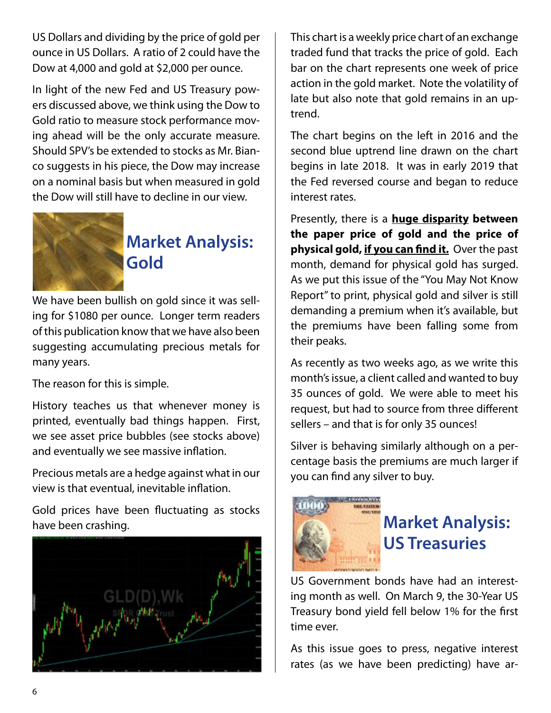US Dollars and dividing by the price of gold per ounce in US Dollars. A ratio of 2 could have the Dow at 4,000 and gold at \$2,000 per ounce.

In light of the new Fed and US Treasury powers discussed above, we think using the Dow to Gold ratio to measure stock performance moving ahead will be the only accurate measure. Should SPV's be extended to stocks as Mr. Bianco suggests in his piece, the Dow may increase on a nominal basis but when measured in gold the Dow will still have to decline in our view.



# **Market Analysis: Gold**

We have been bullish on gold since it was selling for \$1080 per ounce. Longer term readers of this publication know that we have also been suggesting accumulating precious metals for many years.

The reason for this is simple.

History teaches us that whenever money is printed, eventually bad things happen. First, we see asset price bubbles (see stocks above) and eventually we see massive inflation.

Precious metals are a hedge against what in our view is that eventual, inevitable inflation.

Gold prices have been fluctuating as stocks have been crashing.



This chart is a weekly price chart of an exchange traded fund that tracks the price of gold. Each bar on the chart represents one week of price action in the gold market. Note the volatility of late but also note that gold remains in an uptrend.

The chart begins on the left in 2016 and the second blue uptrend line drawn on the chart begins in late 2018. It was in early 2019 that the Fed reversed course and began to reduce interest rates.

Presently, there is a **huge disparity between the paper price of gold and the price of physical gold, if you can find it.** Over the past month, demand for physical gold has surged. As we put this issue of the "You May Not Know Report" to print, physical gold and silver is still demanding a premium when it's available, but the premiums have been falling some from their peaks.

As recently as two weeks ago, as we write this month's issue, a client called and wanted to buy 35 ounces of gold. We were able to meet his request, but had to source from three different sellers – and that is for only 35 ounces!

Silver is behaving similarly although on a percentage basis the premiums are much larger if you can find any silver to buy.



## **Market Analysis: US Treasuries**

US Government bonds have had an interesting month as well. On March 9, the 30-Year US Treasury bond yield fell below 1% for the first time ever.

As this issue goes to press, negative interest rates (as we have been predicting) have ar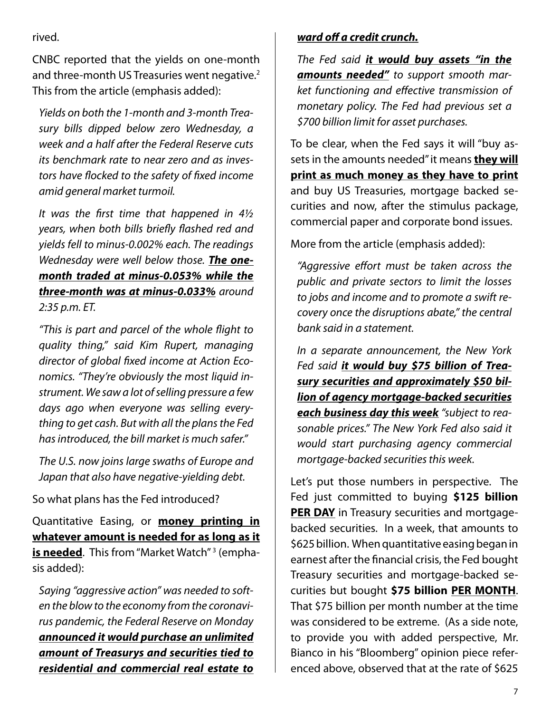rived.

CNBC reported that the yields on one-month and three-month US Treasuries went negative.<sup>2</sup> This from the article (emphasis added):

*Yields on both the 1-month and 3-month Treasury bills dipped below zero Wednesday, a week and a half after the Federal Reserve cuts its benchmark rate to near zero and as investors have flocked to the safety of fixed income amid general market turmoil.*

*It was the first time that happened in 4½ years, when both bills briefly flashed red and yields fell to minus-0.002% each. The readings Wednesday were well below those. The onemonth traded at minus-0.053% while the three-month was at minus-0.033% around 2:35 p.m. ET.*

*"This is part and parcel of the whole flight to quality thing," said Kim Rupert, managing director of global fixed income at Action Economics. "They're obviously the most liquid instrument. We saw a lot of selling pressure a few days ago when everyone was selling everything to get cash. But with all the plans the Fed has introduced, the bill market is much safer."*

*The U.S. now joins large swaths of Europe and Japan that also have negative-yielding debt.*

So what plans has the Fed introduced?

Quantitative Easing, or **money printing in whatever amount is needed for as long as it is needed**. This from "Market Watch" 3 (emphasis added):

*Saying "aggressive action" was needed to soften the blow to the economy from the coronavirus pandemic, the Federal Reserve on Monday announced it would purchase an unlimited amount of Treasurys and securities tied to residential and commercial real estate to*

### *ward off a credit crunch.*

*The Fed said it would buy assets "in the amounts needed" to support smooth market functioning and effective transmission of monetary policy. The Fed had previous set a \$700 billion limit for asset purchases.*

To be clear, when the Fed says it will "buy assets in the amounts needed" it means **they will print as much money as they have to print** and buy US Treasuries, mortgage backed securities and now, after the stimulus package, commercial paper and corporate bond issues.

More from the article (emphasis added):

*"Aggressive effort must be taken across the public and private sectors to limit the losses to jobs and income and to promote a swift recovery once the disruptions abate," the central bank said in a statement.*

*In a separate announcement, the New York Fed said it would buy \$75 billion of Treasury securities and approximately \$50 billion of agency mortgage-backed securities each business day this week "subject to reasonable prices." The New York Fed also said it would start purchasing agency commercial mortgage-backed securities this week.*

Let's put those numbers in perspective. The Fed just committed to buying **\$125 billion PER DAY** in Treasury securities and mortgagebacked securities. In a week, that amounts to \$625 billion. When quantitative easing began in earnest after the financial crisis, the Fed bought Treasury securities and mortgage-backed securities but bought **\$75 billion PER MONTH**. That \$75 billion per month number at the time was considered to be extreme. (As a side note, to provide you with added perspective, Mr. Bianco in his "Bloomberg" opinion piece referenced above, observed that at the rate of \$625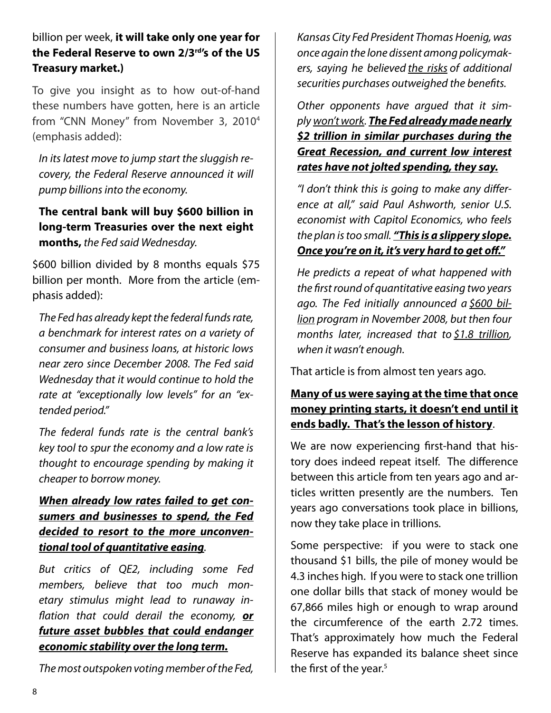billion per week, **it will take only one year for the Federal Reserve to own 2/3rd's of the US Treasury market.)** 

To give you insight as to how out-of-hand these numbers have gotten, here is an article from "CNN Money" from November 3, 20104 (emphasis added):

*In its latest move to jump start the sluggish recovery, the Federal Reserve announced it will pump billions into the economy.*

**The central bank will buy \$600 billion in long-term Treasuries over the next eight months,** *the Fed said Wednesday.* 

\$600 billion divided by 8 months equals \$75 billion per month. More from the article (emphasis added):

*The Fed has already kept the federal funds rate, a benchmark for interest rates on a variety of consumer and business loans, at historic lows near zero since December 2008. The Fed said Wednesday that it would continue to hold the rate at "exceptionally low levels" for an "extended period."*

*The federal funds rate is the central bank's key tool to spur the economy and a low rate is thought to encourage spending by making it cheaper to borrow money.*

### *When already low rates failed to get consumers and businesses to spend, the Fed decided to resort to the more unconventional tool of quantitative easing.*

*But critics of QE2, including some Fed members, believe that too much monetary stimulus might lead to runaway inflation that could derail the economy, or future asset bubbles that could endanger economic stability over the long term.*

*The most outspoken voting member of the Fed,* 

*Kansas City Fed President Thomas Hoenig, was once again the lone dissent among policymakers, saying he believed the risks of additional securities purchases outweighed the benefits.*

*Other opponents have argued that it simply won't work. The Fed already made nearly \$2 trillion in similar purchases during the Great Recession, and current low interest rates have not jolted spending, they say.*

*"I don't think this is going to make any difference at all," said Paul Ashworth, senior U.S. economist with Capitol Economics, who feels the plan is too small. "This is a slippery slope. Once you're on it, it's very hard to get off."*

*He predicts a repeat of what happened with the first round of quantitative easing two years ago. The Fed initially announced a \$600 billion program in November 2008, but then four months later, increased that to \$1.8 trillion, when it wasn't enough.*

That article is from almost ten years ago.

### **Many of us were saying at the time that once money printing starts, it doesn't end until it ends badly. That's the lesson of history**.

We are now experiencing first-hand that history does indeed repeat itself. The difference between this article from ten years ago and articles written presently are the numbers. Ten years ago conversations took place in billions, now they take place in trillions.

Some perspective: if you were to stack one thousand \$1 bills, the pile of money would be 4.3 inches high. If you were to stack one trillion one dollar bills that stack of money would be 67,866 miles high or enough to wrap around the circumference of the earth 2.72 times. That's approximately how much the Federal Reserve has expanded its balance sheet since the first of the year. $5$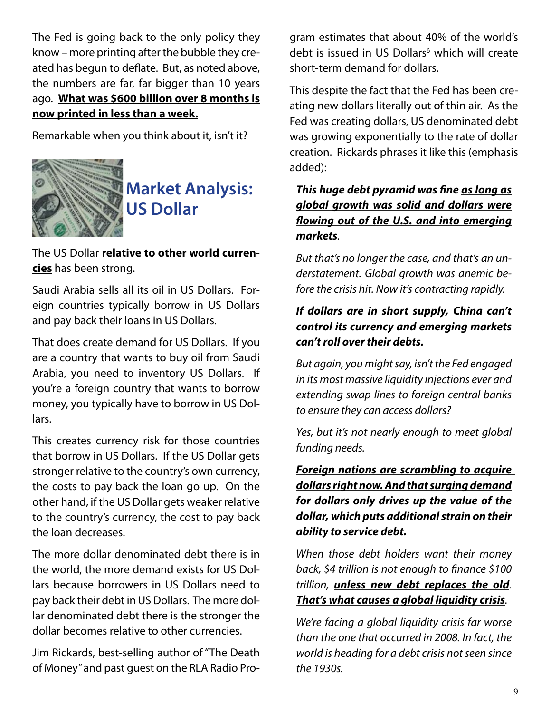The Fed is going back to the only policy they know – more printing after the bubble they created has begun to deflate. But, as noted above, the numbers are far, far bigger than 10 years ago. **What was \$600 billion over 8 months is now printed in less than a week.**

Remarkable when you think about it, isn't it?



# **Market Analysis: US Dollar**

The US Dollar **relative to other world currencies** has been strong.

Saudi Arabia sells all its oil in US Dollars. Foreign countries typically borrow in US Dollars and pay back their loans in US Dollars.

That does create demand for US Dollars. If you are a country that wants to buy oil from Saudi Arabia, you need to inventory US Dollars. If you're a foreign country that wants to borrow money, you typically have to borrow in US Dollars.

This creates currency risk for those countries that borrow in US Dollars. If the US Dollar gets stronger relative to the country's own currency, the costs to pay back the loan go up. On the other hand, if the US Dollar gets weaker relative to the country's currency, the cost to pay back the loan decreases.

The more dollar denominated debt there is in the world, the more demand exists for US Dollars because borrowers in US Dollars need to pay back their debt in US Dollars. The more dollar denominated debt there is the stronger the dollar becomes relative to other currencies.

Jim Rickards, best-selling author of "The Death of Money" and past guest on the RLA Radio Program estimates that about 40% of the world's debt is issued in US Dollars<sup>6</sup> which will create short-term demand for dollars.

This despite the fact that the Fed has been creating new dollars literally out of thin air. As the Fed was creating dollars, US denominated debt was growing exponentially to the rate of dollar creation. Rickards phrases it like this (emphasis added):

### *This huge debt pyramid was fine as long as global growth was solid and dollars were flowing out of the U.S. and into emerging markets.*

*But that's no longer the case, and that's an understatement. Global growth was anemic before the crisis hit. Now it's contracting rapidly.*

### *If dollars are in short supply, China can't control its currency and emerging markets can't roll over their debts.*

*But again, you might say, isn't the Fed engaged in its most massive liquidity injections ever and extending swap lines to foreign central banks to ensure they can access dollars?*

*Yes, but it's not nearly enough to meet global funding needs.*

*Foreign nations are scrambling to acquire dollars right now. And that surging demand for dollars only drives up the value of the dollar, which puts additional strain on their ability to service debt.*

*When those debt holders want their money back, \$4 trillion is not enough to finance \$100 trillion, unless new debt replaces the old. That's what causes a global liquidity crisis.*

*We're facing a global liquidity crisis far worse than the one that occurred in 2008. In fact, the world is heading for a debt crisis not seen since the 1930s.*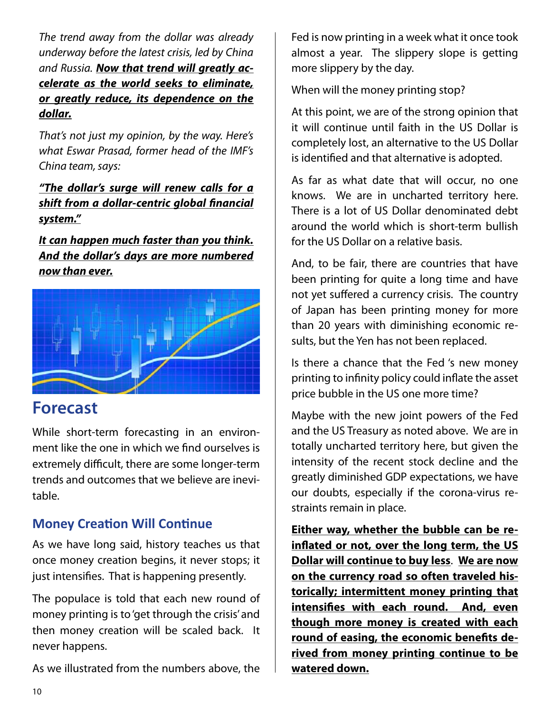*The trend away from the dollar was already underway before the latest crisis, led by China and Russia. Now that trend will greatly accelerate as the world seeks to eliminate, or greatly reduce, its dependence on the dollar.*

*That's not just my opinion, by the way. Here's what Eswar Prasad, former head of the IMF's China team, says:*

*"The dollar's surge will renew calls for a shift from a dollar-centric global financial system."*

*It can happen much faster than you think. And the dollar's days are more numbered now than ever.*



### **Forecast**

While short-term forecasting in an environment like the one in which we find ourselves is extremely difficult, there are some longer-term trends and outcomes that we believe are inevitable.

### **Money Creation Will Continue**

As we have long said, history teaches us that once money creation begins, it never stops; it just intensifies. That is happening presently.

The populace is told that each new round of money printing is to 'get through the crisis' and then money creation will be scaled back. It never happens.

As we illustrated from the numbers above, the

Fed is now printing in a week what it once took almost a year. The slippery slope is getting more slippery by the day.

When will the money printing stop?

At this point, we are of the strong opinion that it will continue until faith in the US Dollar is completely lost, an alternative to the US Dollar is identified and that alternative is adopted.

As far as what date that will occur, no one knows. We are in uncharted territory here. There is a lot of US Dollar denominated debt around the world which is short-term bullish for the US Dollar on a relative basis.

And, to be fair, there are countries that have been printing for quite a long time and have not yet suffered a currency crisis. The country of Japan has been printing money for more than 20 years with diminishing economic results, but the Yen has not been replaced.

Is there a chance that the Fed 's new money printing to infinity policy could inflate the asset price bubble in the US one more time?

Maybe with the new joint powers of the Fed and the US Treasury as noted above. We are in totally uncharted territory here, but given the intensity of the recent stock decline and the greatly diminished GDP expectations, we have our doubts, especially if the corona-virus restraints remain in place.

**Either way, whether the bubble can be reinflated or not, over the long term, the US Dollar will continue to buy less**. **We are now on the currency road so often traveled historically; intermittent money printing that intensifies with each round. And, even though more money is created with each round of easing, the economic benefits derived from money printing continue to be watered down.**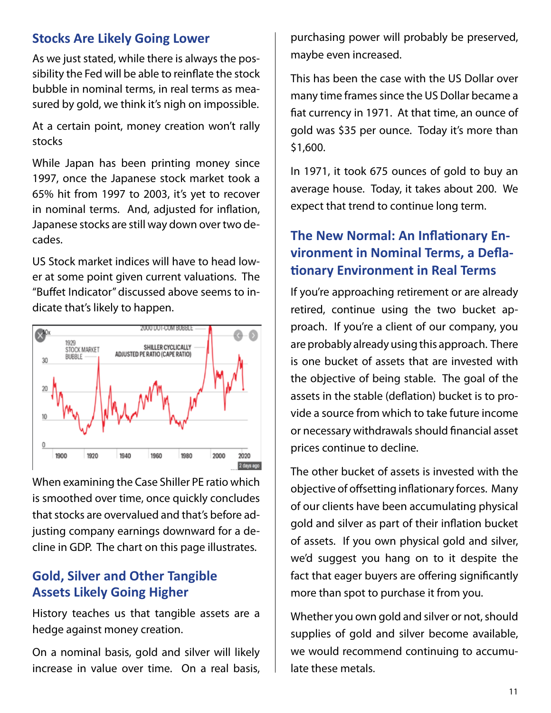### **Stocks Are Likely Going Lower**

As we just stated, while there is always the possibility the Fed will be able to reinflate the stock bubble in nominal terms, in real terms as measured by gold, we think it's nigh on impossible.

At a certain point, money creation won't rally stocks

While Japan has been printing money since 1997, once the Japanese stock market took a 65% hit from 1997 to 2003, it's yet to recover in nominal terms. And, adjusted for inflation, Japanese stocks are still way down over two decades.

US Stock market indices will have to head lower at some point given current valuations. The "Buffet Indicator" discussed above seems to indicate that's likely to happen.



When examining the Case Shiller PE ratio which is smoothed over time, once quickly concludes that stocks are overvalued and that's before adjusting company earnings downward for a decline in GDP. The chart on this page illustrates.

### **Gold, Silver and Other Tangible Assets Likely Going Higher**

History teaches us that tangible assets are a hedge against money creation.

On a nominal basis, gold and silver will likely increase in value over time. On a real basis, purchasing power will probably be preserved, maybe even increased.

This has been the case with the US Dollar over many time frames since the US Dollar became a fiat currency in 1971. At that time, an ounce of gold was \$35 per ounce. Today it's more than \$1,600.

In 1971, it took 675 ounces of gold to buy an average house. Today, it takes about 200. We expect that trend to continue long term.

### **The New Normal: An Inflationary Environment in Nominal Terms, a Deflationary Environment in Real Terms**

If you're approaching retirement or are already retired, continue using the two bucket approach. If you're a client of our company, you are probably already using this approach. There is one bucket of assets that are invested with the objective of being stable. The goal of the assets in the stable (deflation) bucket is to provide a source from which to take future income or necessary withdrawals should financial asset prices continue to decline.

The other bucket of assets is invested with the objective of offsetting inflationary forces. Many of our clients have been accumulating physical gold and silver as part of their inflation bucket of assets. If you own physical gold and silver, we'd suggest you hang on to it despite the fact that eager buyers are offering significantly more than spot to purchase it from you.

Whether you own gold and silver or not, should supplies of gold and silver become available, we would recommend continuing to accumulate these metals.